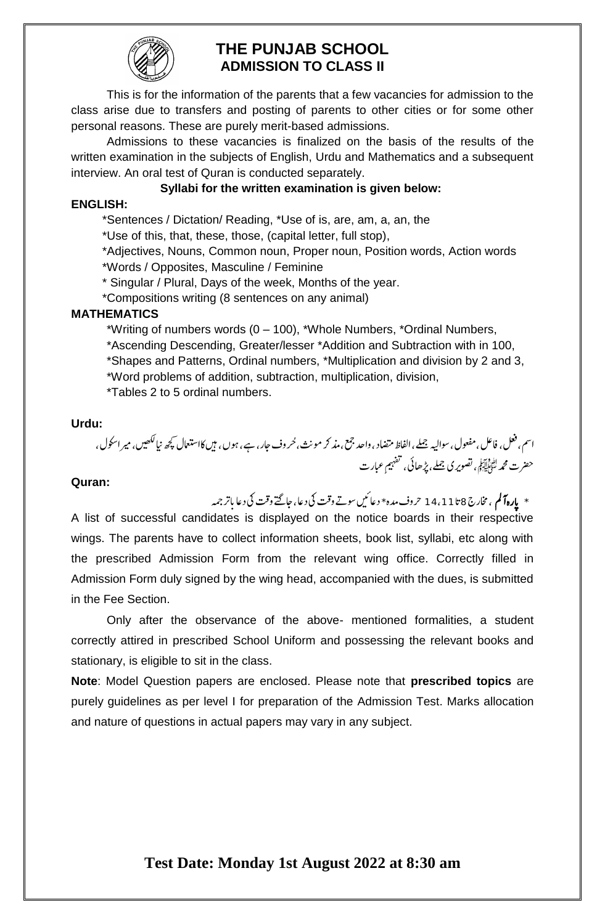

## **THE PUNJAB SCHOOL ADMISSION TO CLASS II**

This is for the information of the parents that a few vacancies for admission to the class arise due to transfers and posting of parents to other cities or for some other personal reasons. These are purely merit-based admissions.

Admissions to these vacancies is finalized on the basis of the results of the written examination in the subjects of English, Urdu and Mathematics and a subsequent interview. An oral test of Quran is conducted separately.

### **Syllabi for the written examination is given below:**

#### **ENGLISH:**

\*Sentences / Dictation/ Reading, \*Use of is, are, am, a, an, the

\*Use of this, that, these, those, (capital letter, full stop),

\*Adjectives, Nouns, Common noun, Proper noun, Position words, Action words \*Words / Opposites, Masculine / Feminine

\* Singular / Plural, Days of the week, Months of the year.

\*Compositions writing (8 sentences on any animal)

### **MATHEMATICS**

\*Writing of numbers words (0 – 100), \*Whole Numbers, \*Ordinal Numbers,

\*Ascending Descending, Greater/lesser \*Addition and Subtraction with in 100,

\*Shapes and Patterns, Ordinal numbers, \*Multiplication and division by 2 and 3,

\*Word problems of addition, subtraction, multiplication, division,

\*Tables 2 to 5 ordinal numbers.

#### **Urdu:**

<sub>اسم ،</sub> فعل، فاعل، مفعول، سواليہ <u>جملے</u>، الفاظ متضاد ، واحد جمع ،مذ كر مونث، <sup>پ</sup>حروف جار ، ہے ، ہوں ، <del>بي</del>ں كااستعال كچھ نيالكھيں، مير اسكول،  $\overline{a}$ ُ دمحم  $\overline{a}$ حضرت محمد لتَّأَبِيَاتِهُمْ، تَصُوير کی جَمَلے، بِپُرھائی، تَفْهَيمِ  $\overline{a}$ عبارت

#### **Quran:**

\* پارہآ لم ، مخارج 8 تا 14،11 حروف مدہ\* دعائیں سوتے وقت کی دعا، جاگتے وقت کی دعا باتر جمہ 7

A list of successful candidates is displayed on the notice boards in their respective wings. The parents have to collect information sheets, book list, syllabi, etc along with the prescribed Admission Form from the relevant wing office. Correctly filled in Admission Form duly signed by the wing head, accompanied with the dues, is submitted in the Fee Section.

Only after the observance of the above- mentioned formalities, a student correctly attired in prescribed School Uniform and possessing the relevant books and stationary, is eligible to sit in the class.

**Note**: Model Question papers are enclosed. Please note that **prescribed topics** are purely guidelines as per level I for preparation of the Admission Test. Marks allocation and nature of questions in actual papers may vary in any subject.

# **Test Date: Monday 1st August 2022 at 8:30 am**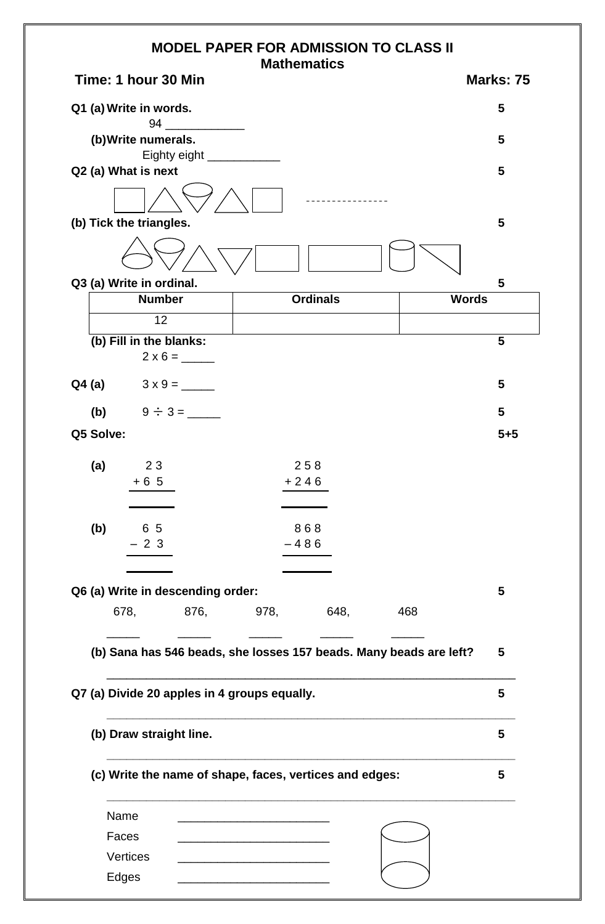| <b>MODEL PAPER FOR ADMISSION TO CLASS II</b>                       | <b>Mathematics</b> |                 |     |                  |
|--------------------------------------------------------------------|--------------------|-----------------|-----|------------------|
| Time: 1 hour 30 Min                                                |                    |                 |     | <b>Marks: 75</b> |
| Q1 (a) Write in words.                                             |                    |                 |     | 5                |
| 94<br>(b) Write numerals.                                          |                    |                 |     | 5                |
| Eighty eight _____________<br>Q2 (a) What is next                  |                    |                 |     | 5                |
|                                                                    |                    |                 |     |                  |
| (b) Tick the triangles.                                            |                    |                 |     | 5                |
|                                                                    |                    |                 |     |                  |
| Q3 (a) Write in ordinal.                                           |                    |                 |     | 5                |
| <b>Number</b><br>12                                                |                    | <b>Ordinals</b> |     | <b>Words</b>     |
| (b) Fill in the blanks:<br>$2 \times 6 =$                          |                    |                 |     | 5                |
|                                                                    |                    |                 |     | 5                |
| $9 \div 3 =$<br>(b)                                                |                    |                 |     | 5                |
| Q5 Solve:                                                          |                    |                 |     | $5 + 5$          |
| 23<br>(a)                                                          |                    | 258             |     |                  |
| $+65$                                                              | $+246$             |                 |     |                  |
| (b)<br>6 5                                                         |                    | 868             |     |                  |
| $-23$                                                              | -486               |                 |     |                  |
|                                                                    |                    |                 |     |                  |
| Q6 (a) Write in descending order:<br>678,<br>876,                  | 978,               | 648,            | 468 | 5                |
|                                                                    |                    |                 |     |                  |
| (b) Sana has 546 beads, she losses 157 beads. Many beads are left? |                    |                 |     | 5                |
| Q7 (a) Divide 20 apples in 4 groups equally.                       |                    |                 |     | 5                |
| (b) Draw straight line.                                            |                    |                 |     | 5                |
| (c) Write the name of shape, faces, vertices and edges:            |                    |                 |     | 5                |
| Name                                                               |                    |                 |     |                  |
| Faces                                                              |                    |                 |     |                  |
| Vertices                                                           |                    |                 |     |                  |
| Edges                                                              |                    |                 |     |                  |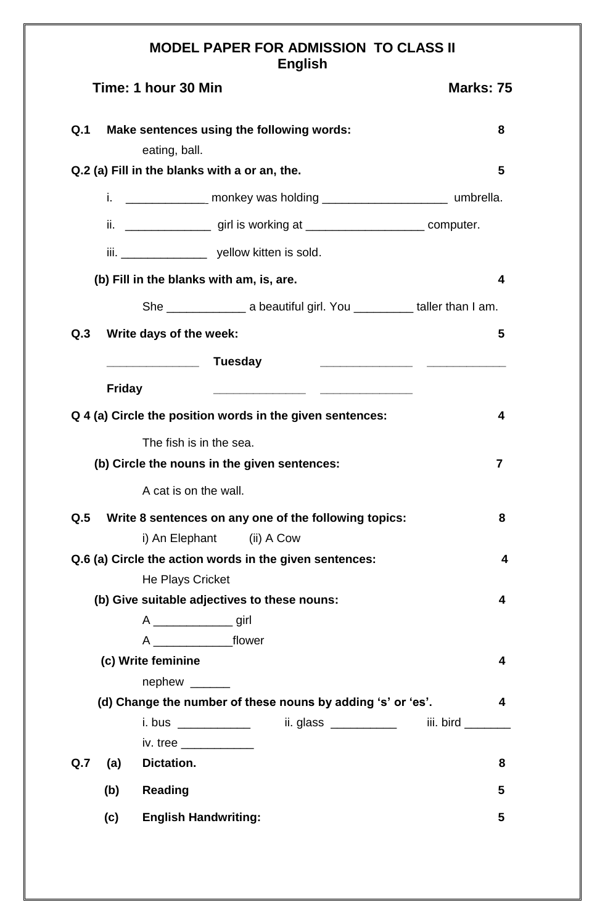# **MODEL PAPER FOR ADMISSION TO CLASS II English**

| Time: 1 hour 30 Min |               |                                                                                            | <b>Marks: 75</b>                          |
|---------------------|---------------|--------------------------------------------------------------------------------------------|-------------------------------------------|
| Q.1                 |               | Make sentences using the following words:<br>eating, ball.                                 | 8                                         |
|                     |               | Q.2 (a) Fill in the blanks with a or an, the.                                              | 5                                         |
|                     |               | i. _______________________ monkey was holding __________________________________ umbrella. |                                           |
|                     |               | ii. _____________________girl is working at _______________________________computer.       |                                           |
|                     |               |                                                                                            |                                           |
|                     |               | (b) Fill in the blanks with am, is, are.                                                   | 4                                         |
|                     |               |                                                                                            |                                           |
| Q.3                 |               | Write days of the week:                                                                    | 5                                         |
|                     |               | <b>Tuesday</b><br><u> 1990 - Johann Barbara, martin a</u>                                  |                                           |
|                     | <b>Friday</b> |                                                                                            |                                           |
|                     |               | Q 4 (a) Circle the position words in the given sentences:                                  | 4                                         |
|                     |               |                                                                                            |                                           |
|                     |               | The fish is in the sea.<br>(b) Circle the nouns in the given sentences:                    | $\overline{7}$                            |
|                     |               | A cat is on the wall.                                                                      |                                           |
| Q.5                 |               | Write 8 sentences on any one of the following topics:                                      | 8                                         |
|                     |               | i) An Elephant<br>(ii) A Cow                                                               |                                           |
|                     |               | Q.6 (a) Circle the action words in the given sentences:                                    | 4                                         |
|                     |               | <b>He Plays Cricket</b>                                                                    |                                           |
|                     |               | (b) Give suitable adjectives to these nouns:                                               | 4                                         |
|                     |               |                                                                                            |                                           |
|                     |               | A _______________________flower                                                            |                                           |
|                     |               | (c) Write feminine                                                                         | 4                                         |
|                     |               | $nephew$ _______                                                                           |                                           |
|                     |               | (d) Change the number of these nouns by adding 's' or 'es'.                                | 4                                         |
|                     |               | i. bus _____________                                                                       | ii. glass _____________ iii. bird _______ |
|                     |               | iv. tree ______________                                                                    |                                           |
| Q.7                 | (a)           | Dictation.                                                                                 | 8                                         |
|                     | (b)           | <b>Reading</b>                                                                             | 5                                         |
|                     | (c)           | <b>English Handwriting:</b>                                                                | 5                                         |